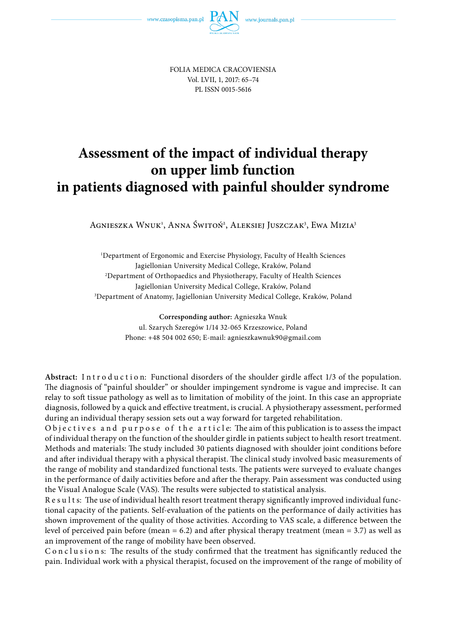

FOLIA MEDICA CRACOVIENSIA Vol. LVII, 1, 2017: 65–74 PL ISSN 0015-5616

# **Assessment of the impact of individual therapy on upper limb function in patients diagnosed with painful shoulder syndrome**

Agnieszka Wnuk<sup>1</sup>, Anna Świtoń<sup>2</sup>, Aleksiej Juszczak<sup>3</sup>, Ewa Mizia<sup>3</sup>

1 Department of Ergonomic and Exercise Physiology, Faculty of Health Sciences Jagiellonian University Medical College, Kraków, Poland 2 Department of Orthopaedics and Physiotherapy, Faculty of Health Sciences Jagiellonian University Medical College, Kraków, Poland 3 Department of Anatomy, Jagiellonian University Medical College, Kraków, Poland

> **Corresponding author:** Agnieszka Wnuk ul. Szarych Szeregów 1/14 32-065 Krzeszowice, Poland Phone: +48 504 002 650; E-mail: agnieszkawnuk90@gmail.com

Abstract: Introduction: Functional disorders of the shoulder girdle affect 1/3 of the population. The diagnosis of "painful shoulder" or shoulder impingement syndrome is vague and imprecise. It can relay to soft tissue pathology as well as to limitation of mobility of the joint. In this case an appropriate diagnosis, followed by a quick and effective treatment, is crucial. A physiotherapy assessment, performed during an individual therapy session sets out a way forward for targeted rehabilitation.

O bjectives and purpose of the article: The aim of this publication is to assess the impact of individual therapy on the function of the shoulder girdle in patients subject to health resort treatment. Methods and materials: The study included 30 patients diagnosed with shoulder joint conditions before and after individual therapy with a physical therapist. The clinical study involved basic measurements of the range of mobility and standardized functional tests. The patients were surveyed to evaluate changes in the performance of daily activities before and after the therapy. Pain assessment was conducted using the Visual Analogue Scale (VAS). The results were subjected to statistical analysis.

R e s u l t s: The use of individual health resort treatment therapy significantly improved individual functional capacity of the patients. Self-evaluation of the patients on the performance of daily activities has shown improvement of the quality of those activities. According to VAS scale, a difference between the level of perceived pain before (mean  $= 6.2$ ) and after physical therapy treatment (mean  $= 3.7$ ) as well as an improvement of the range of mobility have been observed.

C o n c l u s i o n s: The results of the study confirmed that the treatment has significantly reduced the pain. Individual work with a physical therapist, focused on the improvement of the range of mobility of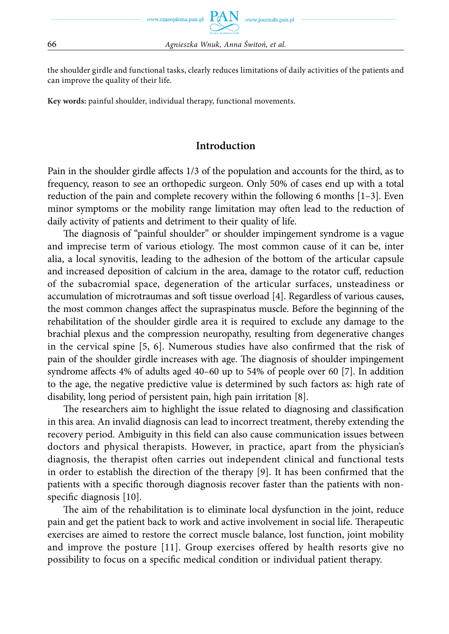the shoulder girdle and functional tasks, clearly reduces limitations of daily activities of the patients and can improve the quality of their life.

**Key words:** painful shoulder, individual therapy, functional movements.

# **Introduction**

Pain in the shoulder girdle affects 1/3 of the population and accounts for the third, as to frequency, reason to see an orthopedic surgeon. Only 50% of cases end up with a total reduction of the pain and complete recovery within the following 6 months [1–3]. Even minor symptoms or the mobility range limitation may often lead to the reduction of daily activity of patients and detriment to their quality of life.

The diagnosis of "painful shoulder" or shoulder impingement syndrome is a vague and imprecise term of various etiology. The most common cause of it can be, inter alia, a local synovitis, leading to the adhesion of the bottom of the articular capsule and increased deposition of calcium in the area, damage to the rotator cuff, reduction of the subacromial space, degeneration of the articular surfaces, unsteadiness or accumulation of microtraumas and soft tissue overload [4]. Regardless of various causes, the most common changes affect the supraspinatus muscle. Before the beginning of the rehabilitation of the shoulder girdle area it is required to exclude any damage to the brachial plexus and the compression neuropathy, resulting from degenerative changes in the cervical spine  $[5, 6]$ . Numerous studies have also confirmed that the risk of pain of the shoulder girdle increases with age. The diagnosis of shoulder impingement syndrome affects  $4\%$  of adults aged  $40-60$  up to  $54\%$  of people over 60 [7]. In addition to the age, the negative predictive value is determined by such factors as: high rate of disability, long period of persistent pain, high pain irritation [8].

The researchers aim to highlight the issue related to diagnosing and classification in this area. An invalid diagnosis can lead to incorrect treatment, thereby extending the recovery period. Ambiguity in this field can also cause communication issues between doctors and physical therapists. However, in practice, apart from the physician's diagnosis, the therapist often carries out independent clinical and functional tests in order to establish the direction of the therapy  $[9]$ . It has been confirmed that the patients with a specific thorough diagnosis recover faster than the patients with nonspecific diagnosis  $[10]$ .

The aim of the rehabilitation is to eliminate local dysfunction in the joint, reduce pain and get the patient back to work and active involvement in social life. Therapeutic exercises are aimed to restore the correct muscle balance, lost function, joint mobility and improve the posture [11]. Group exercises offered by health resorts give no possibility to focus on a specific medical condition or individual patient therapy.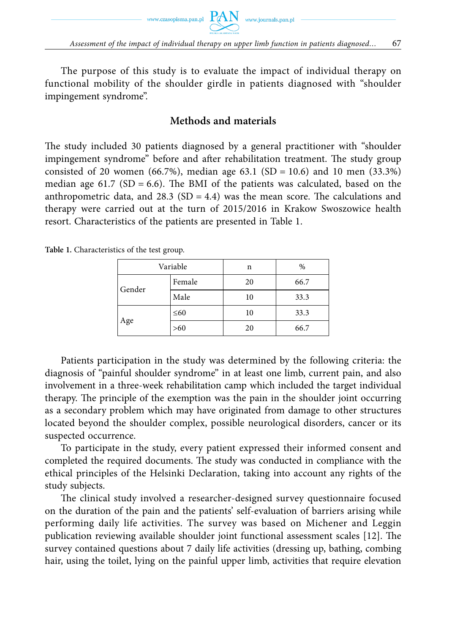



The purpose of this study is to evaluate the impact of individual therapy on functional mobility of the shoulder girdle in patients diagnosed with "shoulder impingement syndrome".

#### **Methods and materials**

The study included 30 patients diagnosed by a general practitioner with "shoulder impingement syndrome" before and after rehabilitation treatment. The study group consisted of 20 women (66.7%), median age 63.1 (SD = 10.6) and 10 men (33.3%) median age 61.7 (SD = 6.6). The BMI of the patients was calculated, based on the anthropometric data, and 28.3 (SD = 4.4) was the mean score. The calculations and therapy were carried out at the turn of 2015/2016 in Krakow Swoszowice health resort. Characteristics of the patients are presented in Table 1.

| Variable |           | n  | %    |  |
|----------|-----------|----|------|--|
| Gender   | Female    | 20 | 66.7 |  |
|          | Male      | 10 | 33.3 |  |
| Age      | $\leq 60$ | 10 | 33.3 |  |
|          | >60       | 20 | 66.7 |  |

**Table 1.** Characteristics of the test group.

Patients participation in the study was determined by the following criteria: the diagnosis of "painful shoulder syndrome" in at least one limb, current pain, and also involvement in a three-week rehabilitation camp which included the target individual therapy. The principle of the exemption was the pain in the shoulder joint occurring as a secondary problem which may have originated from damage to other structures located beyond the shoulder complex, possible neurological disorders, cancer or its suspected occurrence.

To participate in the study, every patient expressed their informed consent and completed the required documents. The study was conducted in compliance with the ethical principles of the Helsinki Declaration, taking into account any rights of the study subjects.

The clinical study involved a researcher-designed survey questionnaire focused on the duration of the pain and the patients' self-evaluation of barriers arising while performing daily life activities. The survey was based on Michener and Leggin publication reviewing available shoulder joint functional assessment scales [12]. The survey contained questions about 7 daily life activities (dressing up, bathing, combing hair, using the toilet, lying on the painful upper limb, activities that require elevation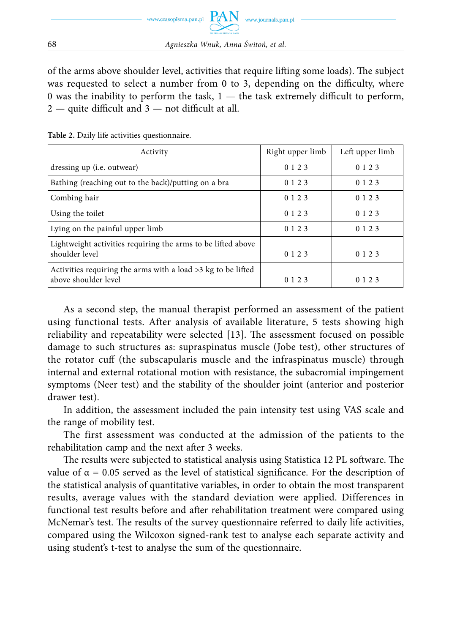of the arms above shoulder level, activities that require lifting some loads). The subject was requested to select a number from 0 to 3, depending on the difficulty, where 0 was the inability to perform the task,  $1 -$  the task extremely difficult to perform,  $2 -$  quite difficult and  $3 -$  not difficult at all.

| Activity                                                                               | Right upper limb | Left upper limb |  |
|----------------------------------------------------------------------------------------|------------------|-----------------|--|
| dressing up ( <i>i.e.</i> outwear)                                                     | 0 1 2 3          | 0 1 2 3         |  |
| Bathing (reaching out to the back)/putting on a bra                                    | 0 1 2 3          | 0 1 2 3         |  |
| Combing hair                                                                           | 0 1 2 3          | 0 1 2 3         |  |
| Using the toilet                                                                       | 0 1 2 3          | 0 1 2 3         |  |
| Lying on the painful upper limb                                                        | 0 1 2 3          | 0 1 2 3         |  |
| Lightweight activities requiring the arms to be lifted above<br>shoulder level         | 0 1 2 3          | 0 1 2 3         |  |
| Activities requiring the arms with a load $>3$ kg to be lifted<br>above shoulder level | 0 1 2 3          | 0 1 2 3         |  |

As a second step, the manual therapist performed an assessment of the patient using functional tests. After analysis of available literature, 5 tests showing high reliability and repeatability were selected [13]. The assessment focused on possible damage to such structures as: supraspinatus muscle (Jobe test), other structures of the rotator cuff (the subscapularis muscle and the infraspinatus muscle) through internal and external rotational motion with resistance, the subacromial impingement symptoms (Neer test) and the stability of the shoulder joint (anterior and posterior drawer test).

In addition, the assessment included the pain intensity test using VAS scale and the range of mobility test.

The first assessment was conducted at the admission of the patients to the rehabilitation camp and the next after 3 weeks.

The results were subjected to statistical analysis using Statistica 12 PL software. The value of  $\alpha = 0.05$  served as the level of statistical significance. For the description of the statistical analysis of quantitative variables, in order to obtain the most transparent results, average values with the standard deviation were applied. Differences in functional test results before and after rehabilitation treatment were compared using McNemar's test. The results of the survey questionnaire referred to daily life activities, compared using the Wilcoxon signed-rank test to analyse each separate activity and using student's t-test to analyse the sum of the questionnaire.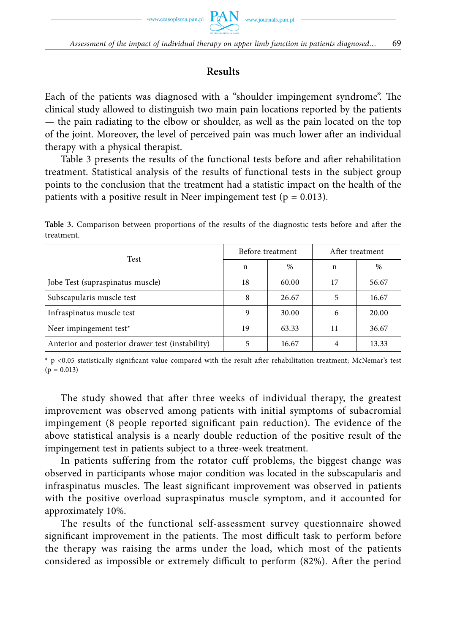# **Results**

Each of the patients was diagnosed with a "shoulder impingement syndrome". The clinical study allowed to distinguish two main pain locations reported by the patients — the pain radiating to the elbow or shoulder, as well as the pain located on the top of the joint. Moreover, the level of perceived pain was much lower after an individual therapy with a physical therapist.

Table 3 presents the results of the functional tests before and after rehabilitation treatment. Statistical analysis of the results of functional tests in the subject group points to the conclusion that the treatment had a statistic impact on the health of the patients with a positive result in Neer impingement test ( $p = 0.013$ ).

| Test                                             | Before treatment |               | After treatment |       |
|--------------------------------------------------|------------------|---------------|-----------------|-------|
|                                                  | n                | $\frac{0}{0}$ | n               | %     |
| Jobe Test (supraspinatus muscle)                 | 18               | 60.00         | 17              | 56.67 |
| Subscapularis muscle test                        | 8                | 26.67         |                 | 16.67 |
| Infraspinatus muscle test                        | 9                | 30.00         | 6               | 20.00 |
| Neer impingement test*                           | 19               | 63.33         | 11              | 36.67 |
| Anterior and posterior drawer test (instability) | 5                | 16.67         |                 | 13.33 |

Table 3. Comparison between proportions of the results of the diagnostic tests before and after the treatment.

\* p <0.05 statistically significant value compared with the result after rehabilitation treatment; McNemar's test  $(p = 0.013)$ 

The study showed that after three weeks of individual therapy, the greatest improvement was observed among patients with initial symptoms of subacromial impingement (8 people reported significant pain reduction). The evidence of the above statistical analysis is a nearly double reduction of the positive result of the impingement test in patients subject to a three-week treatment.

In patients suffering from the rotator cuff problems, the biggest change was observed in participants whose major condition was located in the subscapularis and infraspinatus muscles. The least significant improvement was observed in patients with the positive overload supraspinatus muscle symptom, and it accounted for approximately 10%.

The results of the functional self-assessment survey questionnaire showed significant improvement in the patients. The most difficult task to perform before the therapy was raising the arms under the load, which most of the patients considered as impossible or extremely difficult to perform (82%). After the period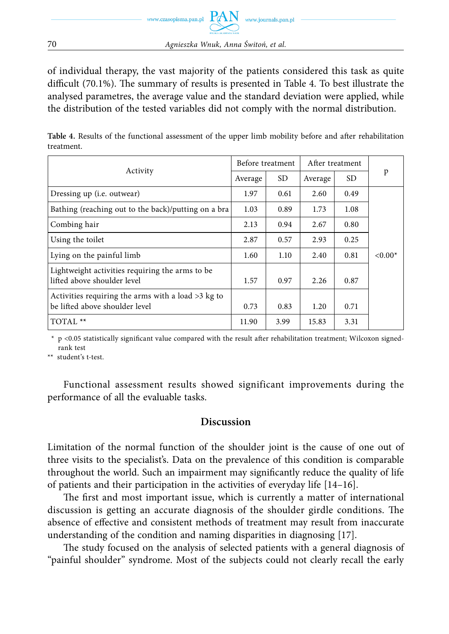

70 *Agnieszka Wnuk, Anna Świtoń, et al.*

of individual therapy, the vast majority of the patients considered this task as quite difficult  $(70.1\%)$ . The summary of results is presented in Table 4. To best illustrate the analysed parametres, the average value and the standard deviation were applied, while the distribution of the tested variables did not comply with the normal distribution.

Table 4. Results of the functional assessment of the upper limb mobility before and after rehabilitation treatment.

|                                                                                        | Before treatment |      | After treatment |           |          |
|----------------------------------------------------------------------------------------|------------------|------|-----------------|-----------|----------|
| Activity                                                                               | Average          | SD.  | Average         | <b>SD</b> | p        |
| Dressing up ( <i>i.e.</i> outwear)                                                     | 1.97             | 0.61 | 2.60            | 0.49      |          |
| Bathing (reaching out to the back)/putting on a bra                                    | 1.03             | 0.89 | 1.73            | 1.08      |          |
| Combing hair                                                                           | 2.13             | 0.94 | 2.67            | 0.80      |          |
| Using the toilet                                                                       | 2.87             | 0.57 | 2.93            | 0.25      |          |
| Lying on the painful limb                                                              | 1.60             | 1.10 | 2.40            | 0.81      | $<0.00*$ |
| Lightweight activities requiring the arms to be.<br>lifted above shoulder level        | 1.57             | 0.97 | 2.26            | 0.87      |          |
| Activities requiring the arms with a load $>3$ kg to<br>be lifted above shoulder level | 0.73             | 0.83 | 1.20            | 0.71      |          |
| TOTAL <sup>**</sup>                                                                    | 11.90            | 3.99 | 15.83           | 3.31      |          |

 $*$  p <0.05 statistically significant value compared with the result after rehabilitation treatment; Wilcoxon signedrank test

\*\* student's t-test.

Functional assessment results showed significant improvements during the performance of all the evaluable tasks.

### **Discussion**

Limitation of the normal function of the shoulder joint is the cause of one out of three visits to the specialist's. Data on the prevalence of this condition is comparable throughout the world. Such an impairment may significantly reduce the quality of life of patients and their participation in the activities of everyday life [14–16].

The first and most important issue, which is currently a matter of international discussion is getting an accurate diagnosis of the shoulder girdle conditions. The absence of effective and consistent methods of treatment may result from inaccurate understanding of the condition and naming disparities in diagnosing [17].

The study focused on the analysis of selected patients with a general diagnosis of "painful shoulder" syndrome. Most of the subjects could not clearly recall the early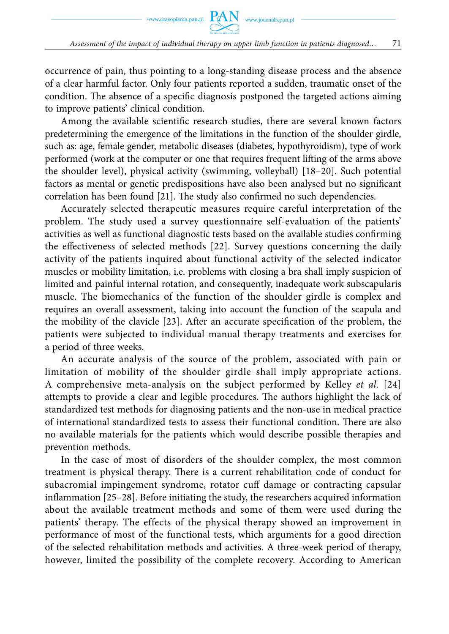occurrence of pain, thus pointing to a long-standing disease process and the absence of a clear harmful factor. Only four patients reported a sudden, traumatic onset of the condition. The absence of a specific diagnosis postponed the targeted actions aiming to improve patients' clinical condition.

Among the available scientific research studies, there are several known factors predetermining the emergence of the limitations in the function of the shoulder girdle, such as: age, female gender, metabolic diseases (diabetes, hypothyroidism), type of work performed (work at the computer or one that requires frequent lifting of the arms above the shoulder level), physical activity (swimming, volleyball) [18–20]. Such potential factors as mental or genetic predispositions have also been analysed but no significant correlation has been found [21]. The study also confirmed no such dependencies.

Accurately selected therapeutic measures require careful interpretation of the problem. The study used a survey questionnaire self-evaluation of the patients' activities as well as functional diagnostic tests based on the available studies confirming the effectiveness of selected methods [22]. Survey questions concerning the daily activity of the patients inquired about functional activity of the selected indicator muscles or mobility limitation, i.e. problems with closing a bra shall imply suspicion of limited and painful internal rotation, and consequently, inadequate work subscapularis muscle. The biomechanics of the function of the shoulder girdle is complex and requires an overall assessment, taking into account the function of the scapula and the mobility of the clavicle  $[23]$ . After an accurate specification of the problem, the patients were subjected to individual manual therapy treatments and exercises for a period of three weeks.

An accurate analysis of the source of the problem, associated with pain or limitation of mobility of the shoulder girdle shall imply appropriate actions. A comprehensive meta-analysis on the subject performed by Kelley *et al.* [24] attempts to provide a clear and legible procedures. The authors highlight the lack of standardized test methods for diagnosing patients and the non-use in medical practice of international standardized tests to assess their functional condition. There are also no available materials for the patients which would describe possible therapies and prevention methods.

In the case of most of disorders of the shoulder complex, the most common treatment is physical therapy. There is a current rehabilitation code of conduct for subacromial impingement syndrome, rotator cuff damage or contracting capsular inflammation  $[25-28]$ . Before initiating the study, the researchers acquired information about the available treatment methods and some of them were used during the patients' therapy. The effects of the physical therapy showed an improvement in performance of most of the functional tests, which arguments for a good direction of the selected rehabilitation methods and activities. A three-week period of therapy, however, limited the possibility of the complete recovery. According to American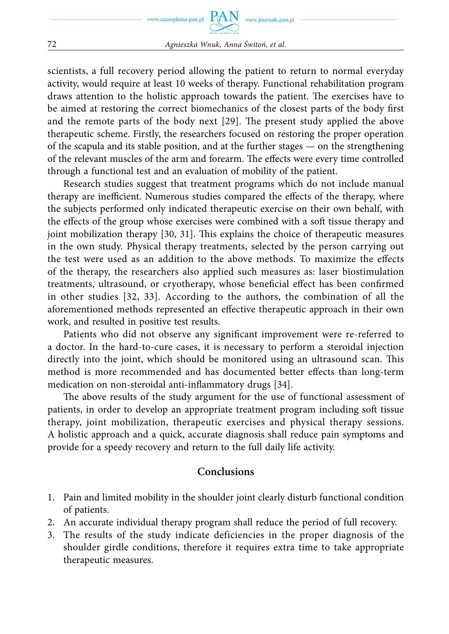scientists, a full recovery period allowing the patient to return to normal everyday activity, would require at least 10 weeks of therapy. Functional rehabilitation program draws attention to the holistic approach towards the patient. The exercises have to be aimed at restoring the correct biomechanics of the closest parts of the body first and the remote parts of the body next [29]. The present study applied the above therapeutic scheme. Firstly, the researchers focused on restoring the proper operation of the scapula and its stable position, and at the further stages — on the strengthening of the relevant muscles of the arm and forearm. The effects were every time controlled through a functional test and an evaluation of mobility of the patient.

Research studies suggest that treatment programs which do not include manual therapy are inefficient. Numerous studies compared the effects of the therapy, where the subjects performed only indicated therapeutic exercise on their own behalf, with the effects of the group whose exercises were combined with a soft tissue therapy and joint mobilization therapy  $[30, 31]$ . This explains the choice of therapeutic measures in the own study. Physical therapy treatments, selected by the person carrying out the test were used as an addition to the above methods. To maximize the effects of the therapy, the researchers also applied such measures as: laser biostimulation treatments, ultrasound, or cryotherapy, whose beneficial effect has been confirmed in other studies [32, 33]. According to the authors, the combination of all the aforementioned methods represented an effective therapeutic approach in their own work, and resulted in positive test results.

Patients who did not observe any significant improvement were re-referred to a doctor. In the hard-to-cure cases, it is necessary to perform a steroidal injection directly into the joint, which should be monitored using an ultrasound scan. This method is more recommended and has documented better effects than long-term medication on non-steroidal anti-inflammatory drugs [34].

The above results of the study argument for the use of functional assessment of patients, in order to develop an appropriate treatment program including soft tissue therapy, joint mobilization, therapeutic exercises and physical therapy sessions. A holistic approach and a quick, accurate diagnosis shall reduce pain symptoms and provide for a speedy recovery and return to the full daily life activity.

### **Conclusions**

- 1. Pain and limited mobility in the shoulder joint clearly disturb functional condition of patients.
- 2. An accurate individual therapy program shall reduce the period of full recovery.
- 3. The results of the study indicate deficiencies in the proper diagnosis of the shoulder girdle conditions, therefore it requires extra time to take appropriate therapeutic measures.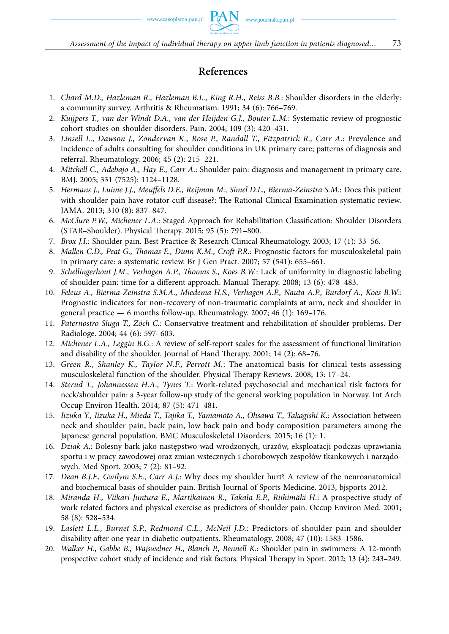# **References**

- 1. *Chard M.D., Hazleman R., Hazleman B.L., King R.H., Reiss B.B.*: Shoulder disorders in the elderly: a community survey. Arthritis & Rheumatism. 1991; 34 (6): 766–769.
- 2. *Kuijpers T., van der Windt D.A., van der Heijden G.J., Bouter L.M.*: Systematic review of prognostic cohort studies on shoulder disorders. Pain. 2004; 109 (3): 420–431.
- 3. *Linsell L., Dawson J., Zondervan K., Rose P., Randall T., Fitzpatrick R., Carr A.*: Prevalence and incidence of adults consulting for shoulder conditions in UK primary care; patterns of diagnosis and referral. Rheumatology. 2006; 45 (2): 215–221.
- 4. *Mitchell C., Adebajo A., Hay E., Carr A.*: Shoulder pain: diagnosis and management in primary care. BMJ. 2005; 331 (7525): 1124–1128.
- 5. *Hermans J., Luime J.J., Meuffels D.E., Reijman M., Simel D.L., Bierma-Zeinstra S.M.*: Does this patient with shoulder pain have rotator cuff disease?: The Rational Clinical Examination systematic review. JAMA. 2013; 310 (8): 837–847.
- 6. *McClure P.W., Michener L.A.*: Staged Approach for Rehabilitation Classification: Shoulder Disorders (STAR–Shoulder). Physical Therapy. 2015; 95 (5): 791-800.
- 7. *Brox J.I.*: Shoulder pain. Best Practice & Research Clinical Rheumatology. 2003; 17 (1): 33–56.
- 8. *Mallen C.D., Peat G., Thomas E., Dunn K.M., Croft P.R.: Prognostic factors for musculoskeletal pain* in primary care: a systematic review. Br J Gen Pract. 2007; 57 (541): 655–661.
- 9. *Schellingerhout J.M., Verhagen A.P., Thomas S., Koes B.W.*: Lack of uniformity in diagnostic labeling of shoulder pain: time for a different approach. Manual Therapy. 2008; 13 (6): 478–483.
- 10. *Feleus A., Bierma-Zeinstra S.M.A., Miedema H.S., Verhagen A.P., Nauta A.P., Burdorf A., Koes B.W.*: Prognostic indicators for non-recovery of non-traumatic complaints at arm, neck and shoulder in general practice — 6 months follow-up. Rheumatology. 2007; 46 (1): 169–176.
- 11. *Paternostro-Sluga T., Zöch C.*: Conservative treatment and rehabilitation of shoulder problems. Der Radiologe. 2004; 44 (6): 597–603.
- 12. *Michener L.A., Leggin B.G.*: A review of self-report scales for the assessment of functional limitation and disability of the shoulder. Journal of Hand Therapy. 2001; 14 (2): 68-76.
- 13. *Green R., Shanley K., Taylor N.F., Perrott M.*: The anatomical basis for clinical tests assessing musculoskeletal function of the shoulder. Physical Therapy Reviews. 2008; 13: 17-24.
- 14. *Sterud T., Johannessen H.A., Tynes T.*: Work-related psychosocial and mechanical risk factors for neck/shoulder pain: a 3-year follow-up study of the general working population in Norway. Int Arch Occup Environ Health. 2014; 87 (5): 471–481.
- 15. *Iizuka Y., Iizuka H., Mieda T., Tajika T., Yamamoto A., Ohsawa T., Takagishi K.*: Association between neck and shoulder pain, back pain, low back pain and body composition parameters among the Japanese general population. BMC Musculoskeletal Disorders. 2015; 16 (1): 1.
- 16. *Dziak A.*: Bolesny bark jako następstwo wad wrodzonych, urazów, eksploatacji podczas uprawiania sportu i w pracy zawodowej oraz zmian wstecznych i chorobowych zespołów tkankowych i narządowych. Med Sport. 2003; 7 (2): 81–92.
- 17. *Dean B.J.F., Gwilym S.E., Carr A.J.*: Why does my shoulder hurt? A review of the neuroanatomical and biochemical basis of shoulder pain. British Journal of Sports Medicine. 2013, bjsports-2012.
- 18. *Miranda H., Viikari-Juntura E., Martikainen R., Takala E.P., Riihimäki H.*: A prospective study of work related factors and physical exercise as predictors of shoulder pain. Occup Environ Med. 2001; 58 (8): 528–534.
- 19. *Laslett L.L., Burnet S.P., Redmond C.L., McNeil J.D.*: Predictors of shoulder pain and shoulder disability after one year in diabetic outpatients. Rheumatology. 2008; 47 (10): 1583-1586.
- 20. *Walker H., Gabbe B., Wajswelner H., Blanch P., Bennell K.*: Shoulder pain in swimmers: A 12-month prospective cohort study of incidence and risk factors. Physical Therapy in Sport. 2012; 13 (4): 243–249.